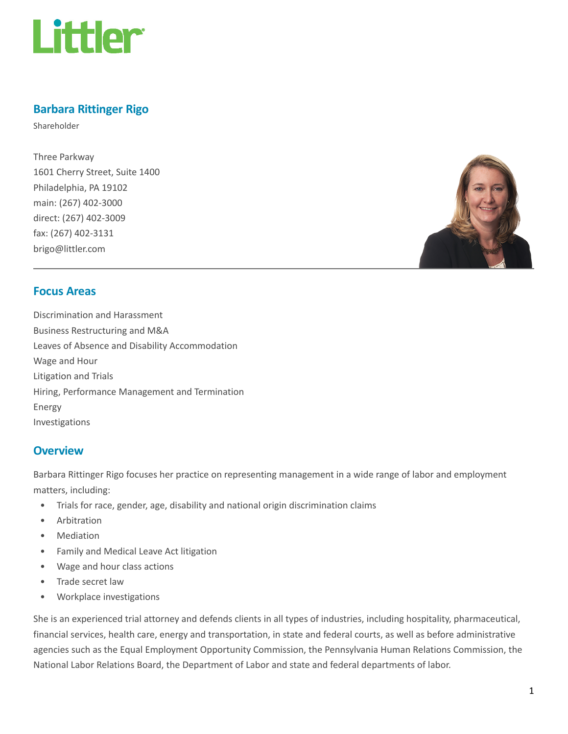

# Barbara Rittinger Rigo

Shareholder

Three Parkway 1601 Cherry Street, Suite 1400 Philadelphia, PA 19102 main: (267) 402-3000 direct: (267) 402-3009 fax: (267) 402-3131 brigo@littler.com



# Focus Areas

Discrimination and Harassment Business Restructuring and M&A Leaves of Absence and Disability Accommodation Wage and Hour Litigation and Trials Hiring, Performance Management and Termination Energy Investigations

# **Overview**

Barbara Rittinger Rigo focuses her practice on representing management in a wide range of labor and employment matters, including:

- Trials for race, gender, age, disability and national origin discrimination claims
- Arbitration
- **Mediation**
- Family and Medical Leave Act litigation
- Wage and hour class actions
- Trade secret law
- Workplace investigations

She is an experienced trial attorney and defends clients in all types of industries, including hospitality, pharmaceutical, financial services, health care, energy and transportation, in state and federal courts, as well as before administrative agencies such as the Equal Employment Opportunity Commission, the Pennsylvania Human Relations Commission, the National Labor Relations Board, the Department of Labor and state and federal departments of labor.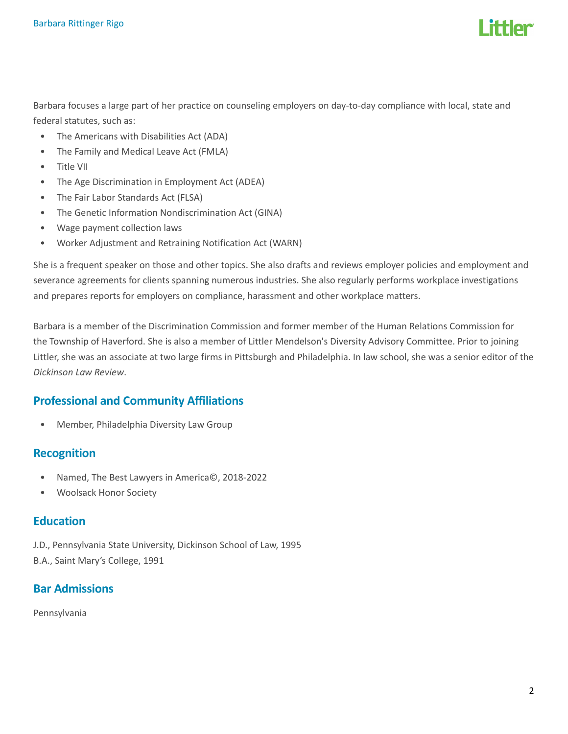

Barbara focuses a large part of her practice on counseling employers on day-to-day compliance with local, state and federal statutes, such as:

- The Americans with Disabilities Act (ADA)
- The Family and Medical Leave Act (FMLA)
- Title VII
- The Age Discrimination in Employment Act (ADEA)
- The Fair Labor Standards Act (FLSA)
- The Genetic Information Nondiscrimination Act (GINA)
- Wage payment collection laws
- Worker Adjustment and Retraining Notification Act (WARN)

She is a frequent speaker on those and other topics. She also drafts and reviews employer policies and employment and severance agreements for clients spanning numerous industries. She also regularly performs workplace investigations and prepares reports for employers on compliance, harassment and other workplace matters.

Barbara is a member of the Discrimination Commission and former member of the Human Relations Commission for the Township of Haverford. She is also a member of Littler Mendelson's Diversity Advisory Committee. Prior to joining Littler, she was an associate at two large firms in Pittsburgh and Philadelphia. In law school, she was a senior editor of the Dickinson Law Review.

# Professional and Community Affiliations

• Member, Philadelphia Diversity Law Group

# Recognition

- Named, The Best Lawyers in America©, 2018-2022
- Woolsack Honor Society

# **Education**

J.D., Pennsylvania State University, Dickinson School of Law, 1995 B.A., Saint Mary's College, 1991

# Bar Admissions

Pennsylvania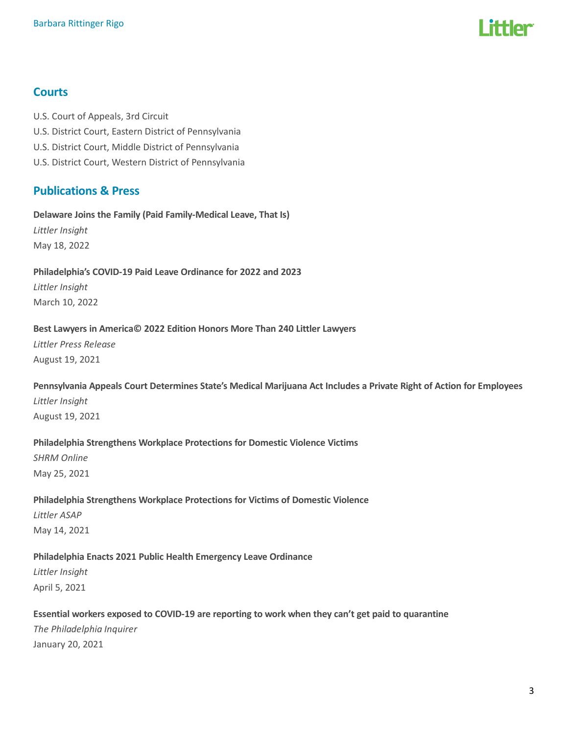

# **Courts**

U.S. Court of Appeals, 3rd Circuit U.S. District Court, Eastern District of Pennsylvania U.S. District Court, Middle District of Pennsylvania U.S. District Court, Western District of Pennsylvania

# Publications & Press

#### Delaware Joins the Family (Paid Family-Medical Leave, That Is)

Littler Insight May 18, 2022

#### Philadelphia's COVID-19 Paid Leave Ordinance for 2022 and 2023

Littler Insight March 10, 2022

#### Best Lawyers in America© 2022 Edition Honors More Than 240 Littler Lawyers

Littler Press Release August 19, 2021

# Pennsylvania Appeals Court Determines State's Medical Marijuana Act Includes a Private Right of Action for Employees

Littler Insight August 19, 2021

#### Philadelphia Strengthens Workplace Protections for Domestic Violence Victims

SHRM Online May 25, 2021

#### Philadelphia Strengthens Workplace Protections for Victims of Domestic Violence

Littler ASAP May 14, 2021

# Philadelphia Enacts 2021 Public Health Emergency Leave Ordinance

Littler Insight April 5, 2021

# Essential workers exposed to COVID-19 are reporting to work when they can't get paid to quarantine The Philadelphia Inquirer January 20, 2021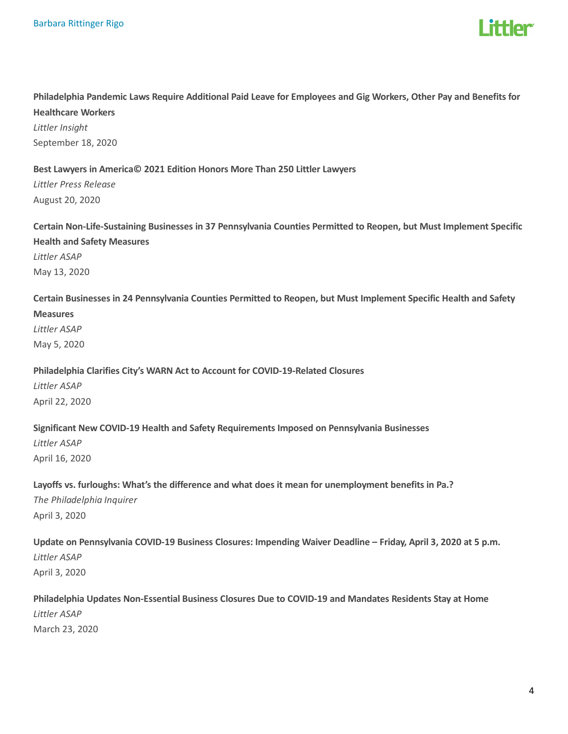

# Philadelphia Pandemic Laws Require Additional Paid Leave for Employees and Gig Workers, Other Pay and Benefits for Healthcare Workers Littler Insight

September 18, 2020

#### Best Lawyers in America© 2021 Edition Honors More Than 250 Littler Lawyers

Littler Press Release August 20, 2020

Certain Non-Life-Sustaining Businesses in 37 Pennsylvania Counties Permitted to Reopen, but Must Implement Specific Health and Safety Measures

Littler ASAP May 13, 2020

Certain Businesses in 24 Pennsylvania Counties Permitted to Reopen, but Must Implement Specific Health and Safety

#### Measures

Littler ASAP May 5, 2020

#### Philadelphia Clarifies City's WARN Act to Account for COVID-19-Related Closures

Littler ASAP April 22, 2020

#### Significant New COVID-19 Health and Safety Requirements Imposed on Pennsylvania Businesses

Littler ASAP April 16, 2020

# Layoffs vs. furloughs: What's the difference and what does it mean for unemployment benefits in Pa.?

The Philadelphia Inquirer April 3, 2020

# Update on Pennsylvania COVID-19 Business Closures: Impending Waiver Deadline – Friday, April 3, 2020 at 5 p.m. Littler ASAP

April 3, 2020

# Philadelphia Updates Non-Essential Business Closures Due to COVID-19 and Mandates Residents Stay at Home Littler ASAP March 23, 2020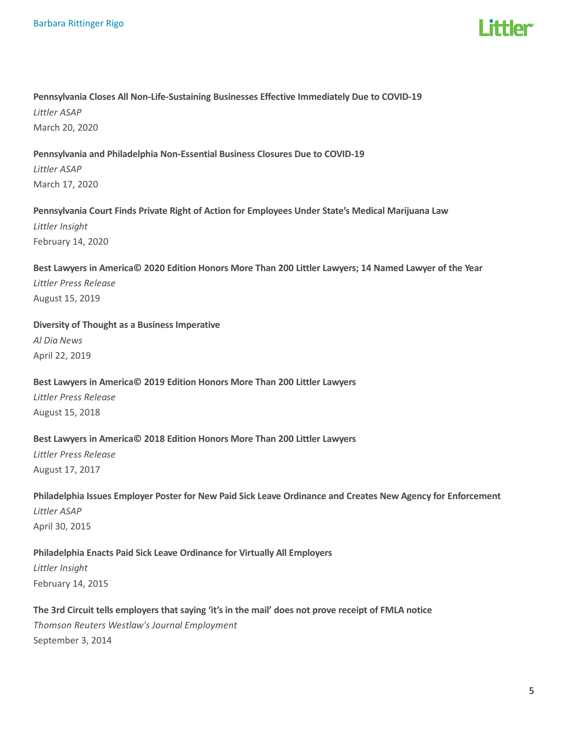

# Pennsylvania Closes All Non-Life-Sustaining Businesses Effective Immediately Due to COVID-19 Littler ASAP March 20, 2020

# Pennsylvania and Philadelphia Non-Essential Business Closures Due to COVID-19 Littler ASAP March 17, 2020

#### Pennsylvania Court Finds Private Right of Action for Employees Under State's Medical Marijuana Law Littler Insight

February 14, 2020

# Best Lawyers in America© 2020 Edition Honors More Than 200 Littler Lawyers; 14 Named Lawyer of the Year Littler Press Release August 15, 2019

Diversity of Thought as a Business Imperative

Al Dia News April 22, 2019

# Best Lawyers in America© 2019 Edition Honors More Than 200 Littler Lawyers Littler Press Release August 15, 2018

# Best Lawyers in America© 2018 Edition Honors More Than 200 Littler Lawyers

Littler Press Release August 17, 2017

Philadelphia Issues Employer Poster for New Paid Sick Leave Ordinance and Creates New Agency for Enforcement Littler ASAP April 30, 2015

#### Philadelphia Enacts Paid Sick Leave Ordinance for Virtually All Employers Littler Insight

February 14, 2015

# The 3rd Circuit tells employers that saying 'it's in the mail' does not prove receipt of FMLA notice Thomson Reuters Westlaw's Journal Employment September 3, 2014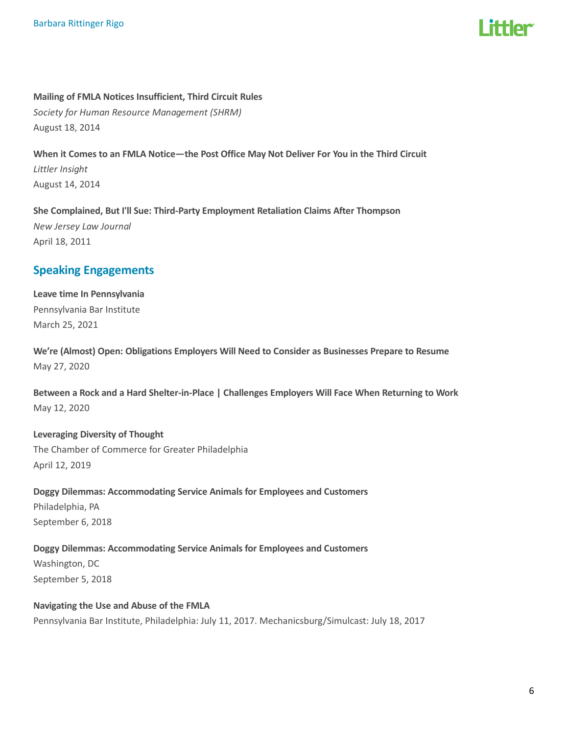Mailing of FMLA Notices Insufficient, Third Circuit Rules Society for Human Resource Management (SHRM) August 18, 2014

When it Comes to an FMLA Notice—the Post Office May Not Deliver For You in the Third Circuit Littler Insight August 14, 2014

She Complained, But I'll Sue: Third-Party Employment Retaliation Claims After Thompson New Jersey Law Journal April 18, 2011

# Speaking Engagements

Leave time In Pennsylvania Pennsylvania Bar Institute March 25, 2021

We're (Almost) Open: Obligations Employers Will Need to Consider as Businesses Prepare to Resume May 27, 2020

Between a Rock and a Hard Shelter-in-Place | Challenges Employers Will Face When Returning to Work May 12, 2020

#### Leveraging Diversity of Thought

The Chamber of Commerce for Greater Philadelphia April 12, 2019

Doggy Dilemmas: Accommodating Service Animals for Employees and Customers Philadelphia, PA September 6, 2018

Doggy Dilemmas: Accommodating Service Animals for Employees and Customers Washington, DC September 5, 2018

Navigating the Use and Abuse of the FMLA Pennsylvania Bar Institute, Philadelphia: July 11, 2017. Mechanicsburg/Simulcast: July 18, 2017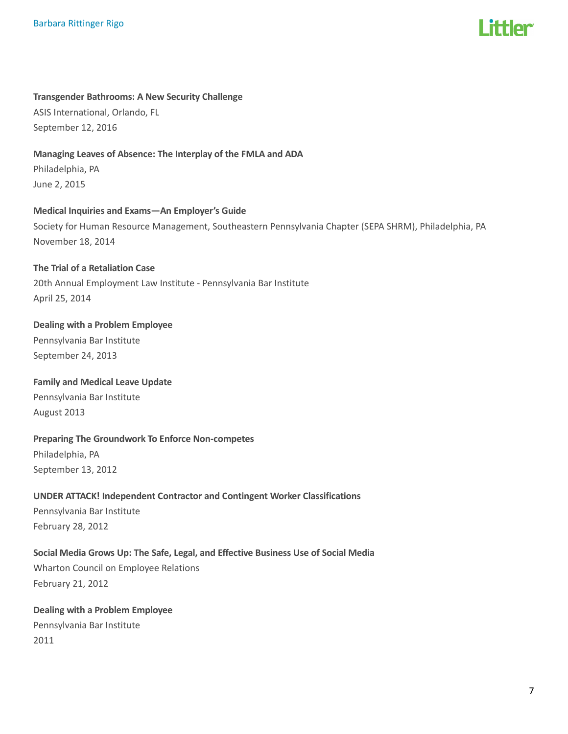

#### Transgender Bathrooms: A New Security Challenge

ASIS International, Orlando, FL September 12, 2016

#### Managing Leaves of Absence: The Interplay of the FMLA and ADA

Philadelphia, PA June 2, 2015

# Medical Inquiries and Exams—An Employer's Guide

Society for Human Resource Management, Southeastern Pennsylvania Chapter (SEPA SHRM), Philadelphia, PA November 18, 2014

#### The Trial of a Retaliation Case

20th Annual Employment Law Institute - Pennsylvania Bar Institute April 25, 2014

# Dealing with a Problem Employee

Pennsylvania Bar Institute September 24, 2013

# Family and Medical Leave Update

Pennsylvania Bar Institute August 2013

# Preparing The Groundwork To Enforce Non-competes Philadelphia, PA

September 13, 2012

#### UNDER ATTACK! Independent Contractor and Contingent Worker Classifications

Pennsylvania Bar Institute February 28, 2012

# Social Media Grows Up: The Safe, Legal, and Effective Business Use of Social Media Wharton Council on Employee Relations February 21, 2012

# Dealing with a Problem Employee Pennsylvania Bar Institute 2011